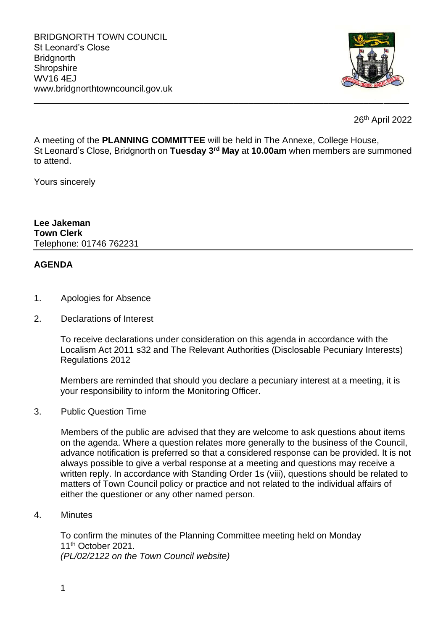

26th April 2022

A meeting of the **PLANNING COMMITTEE** will be held in The Annexe, College House, St Leonard's Close, Bridgnorth on **Tuesday 3rd May** at **10.00am** when members are summoned to attend.

\_\_\_\_\_\_\_\_\_\_\_\_\_\_\_\_\_\_\_\_\_\_\_\_\_\_\_\_\_\_\_\_\_\_\_\_\_\_\_\_\_\_\_\_\_\_\_\_\_\_\_\_\_\_\_\_\_\_\_\_\_\_\_\_\_\_\_\_\_\_\_\_\_\_\_

Yours sincerely

**Lee Jakeman Town Clerk** Telephone: 01746 762231

## **AGENDA**

- 1. Apologies for Absence
- 2. Declarations of Interest

To receive declarations under consideration on this agenda in accordance with the Localism Act 2011 s32 and The Relevant Authorities (Disclosable Pecuniary Interests) Regulations 2012

Members are reminded that should you declare a pecuniary interest at a meeting, it is your responsibility to inform the Monitoring Officer.

3. Public Question Time

Members of the public are advised that they are welcome to ask questions about items on the agenda. Where a question relates more generally to the business of the Council, advance notification is preferred so that a considered response can be provided. It is not always possible to give a verbal response at a meeting and questions may receive a written reply. In accordance with Standing Order 1s (viii), questions should be related to matters of Town Council policy or practice and not related to the individual affairs of either the questioner or any other named person.

4. Minutes

To confirm the minutes of the Planning Committee meeting held on Monday 11th October 2021. *(PL/02/2122 on the Town Council website)*